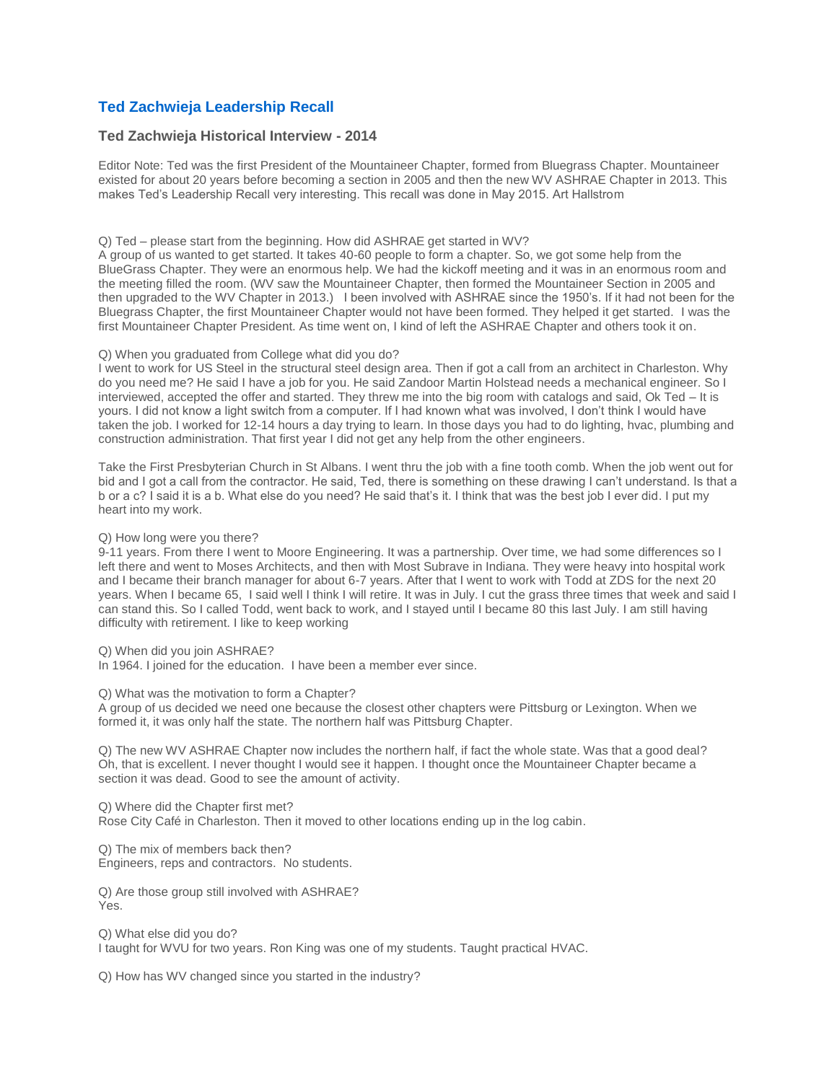# **[Ted Zachwieja Leadership Recall](http://www.wvashrae.org/leadership-recall.html)**

## **Ted Zachwieja Historical Interview - 2014**

Editor Note: Ted was the first President of the Mountaineer Chapter, formed from Bluegrass Chapter. Mountaineer existed for about 20 years before becoming a section in 2005 and then the new WV ASHRAE Chapter in 2013. This makes Ted's Leadership Recall very interesting. This recall was done in May 2015. Art Hallstrom

#### Q) Ted – please start from the beginning. How did ASHRAE get started in WV?

A group of us wanted to get started. It takes 40-60 people to form a chapter. So, we got some help from the BlueGrass Chapter. They were an enormous help. We had the kickoff meeting and it was in an enormous room and the meeting filled the room. (WV saw the Mountaineer Chapter, then formed the Mountaineer Section in 2005 and then upgraded to the WV Chapter in 2013.) I been involved with ASHRAE since the 1950's. If it had not been for the Bluegrass Chapter, the first Mountaineer Chapter would not have been formed. They helped it get started. I was the first Mountaineer Chapter President. As time went on, I kind of left the ASHRAE Chapter and others took it on.

### Q) When you graduated from College what did you do?

I went to work for US Steel in the structural steel design area. Then if got a call from an architect in Charleston. Why do you need me? He said I have a job for you. He said Zandoor Martin Holstead needs a mechanical engineer. So I interviewed, accepted the offer and started. They threw me into the big room with catalogs and said, Ok Ted – It is yours. I did not know a light switch from a computer. If I had known what was involved, I don't think I would have taken the job. I worked for 12-14 hours a day trying to learn. In those days you had to do lighting, hvac, plumbing and construction administration. That first year I did not get any help from the other engineers.

Take the First Presbyterian Church in St Albans. I went thru the job with a fine tooth comb. When the job went out for bid and I got a call from the contractor. He said, Ted, there is something on these drawing I can't understand. Is that a b or a c? I said it is a b. What else do you need? He said that's it. I think that was the best job I ever did. I put my heart into my work.

#### Q) How long were you there?

9-11 years. From there I went to Moore Engineering. It was a partnership. Over time, we had some differences so I left there and went to Moses Architects, and then with Most Subrave in Indiana. They were heavy into hospital work and I became their branch manager for about 6-7 years. After that I went to work with Todd at ZDS for the next 20 years. When I became 65, I said well I think I will retire. It was in July. I cut the grass three times that week and said I can stand this. So I called Todd, went back to work, and I stayed until I became 80 this last July. I am still having difficulty with retirement. I like to keep working

Q) When did you join ASHRAE?

In 1964. I joined for the education. I have been a member ever since.

Q) What was the motivation to form a Chapter?

A group of us decided we need one because the closest other chapters were Pittsburg or Lexington. When we formed it, it was only half the state. The northern half was Pittsburg Chapter.

Q) The new WV ASHRAE Chapter now includes the northern half, if fact the whole state. Was that a good deal? Oh, that is excellent. I never thought I would see it happen. I thought once the Mountaineer Chapter became a section it was dead. Good to see the amount of activity.

Q) Where did the Chapter first met? Rose City Café in Charleston. Then it moved to other locations ending up in the log cabin.

Q) The mix of members back then? Engineers, reps and contractors. No students.

Q) Are those group still involved with ASHRAE? Yes.

Q) What else did you do? I taught for WVU for two years. Ron King was one of my students. Taught practical HVAC.

Q) How has WV changed since you started in the industry?